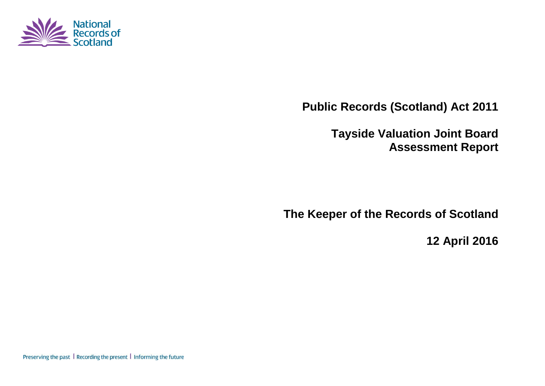

**Public Records (Scotland) Act 2011**

**Tayside Valuation Joint Board Assessment Report**

**The Keeper of the Records of Scotland**

**12 April 2016**

Preserving the past | Recording the present | Informing the future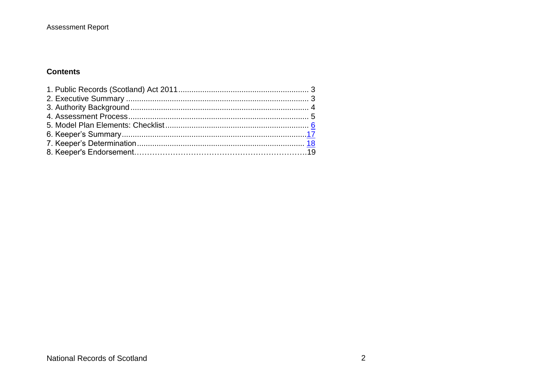#### **Contents**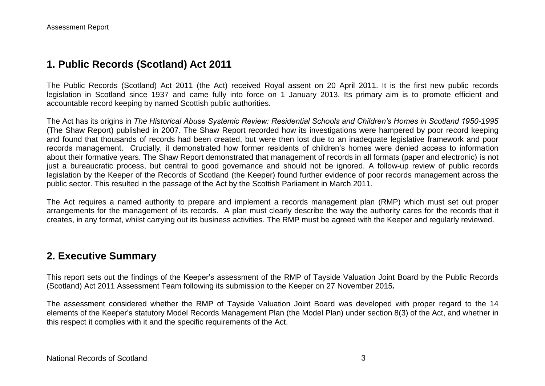### **1. Public Records (Scotland) Act 2011**

The Public Records (Scotland) Act 2011 (the Act) received Royal assent on 20 April 2011. It is the first new public records legislation in Scotland since 1937 and came fully into force on 1 January 2013. Its primary aim is to promote efficient and accountable record keeping by named Scottish public authorities.

The Act has its origins in *The Historical Abuse Systemic Review: Residential Schools and Children's Homes in Scotland 1950-1995* (The Shaw Report) published in 2007. The Shaw Report recorded how its investigations were hampered by poor record keeping and found that thousands of records had been created, but were then lost due to an inadequate legislative framework and poor records management. Crucially, it demonstrated how former residents of children's homes were denied access to information about their formative years. The Shaw Report demonstrated that management of records in all formats (paper and electronic) is not just a bureaucratic process, but central to good governance and should not be ignored. A follow-up review of public records legislation by the Keeper of the Records of Scotland (the Keeper) found further evidence of poor records management across the public sector. This resulted in the passage of the Act by the Scottish Parliament in March 2011.

The Act requires a named authority to prepare and implement a records management plan (RMP) which must set out proper arrangements for the management of its records. A plan must clearly describe the way the authority cares for the records that it creates, in any format, whilst carrying out its business activities. The RMP must be agreed with the Keeper and regularly reviewed.

### **2. Executive Summary**

This report sets out the findings of the Keeper's assessment of the RMP of Tayside Valuation Joint Board by the Public Records (Scotland) Act 2011 Assessment Team following its submission to the Keeper on 27 November 2015*.*

The assessment considered whether the RMP of Tayside Valuation Joint Board was developed with proper regard to the 14 elements of the Keeper's statutory Model Records Management Plan (the Model Plan) under section 8(3) of the Act, and whether in this respect it complies with it and the specific requirements of the Act.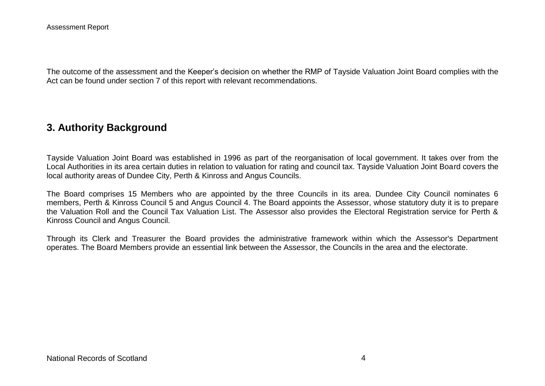The outcome of the assessment and the Keeper's decision on whether the RMP of Tayside Valuation Joint Board complies with the Act can be found under section 7 of this report with relevant recommendations.

## **3. Authority Background**

Tayside Valuation Joint Board was established in 1996 as part of the reorganisation of local government. It takes over from the Local Authorities in its area certain duties in relation to valuation for rating and council tax. Tayside Valuation Joint Board covers the local authority areas of Dundee City, Perth & Kinross and Angus Councils.

The Board comprises 15 Members who are appointed by the three Councils in its area. Dundee City Council nominates 6 members, Perth & Kinross Council 5 and Angus Council 4. The Board appoints the Assessor, whose statutory duty it is to prepare the Valuation Roll and the Council Tax Valuation List. The Assessor also provides the Electoral Registration service for Perth & Kinross Council and Angus Council.

Through its Clerk and Treasurer the Board provides the administrative framework within which the Assessor's Department operates. The Board Members provide an essential link between the Assessor, the Councils in the area and the electorate.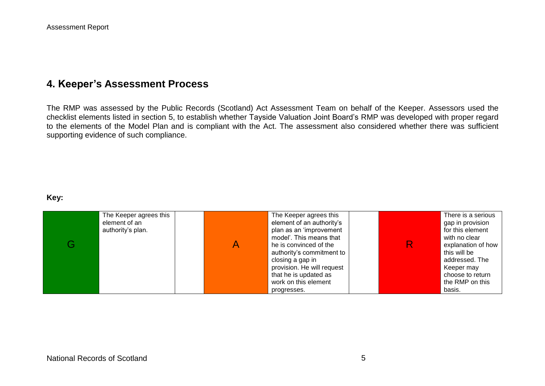## **4. Keeper's Assessment Process**

The RMP was assessed by the Public Records (Scotland) Act Assessment Team on behalf of the Keeper. Assessors used the checklist elements listed in section 5, to establish whether Tayside Valuation Joint Board's RMP was developed with proper regard to the elements of the Model Plan and is compliant with the Act. The assessment also considered whether there was sufficient supporting evidence of such compliance.

#### **Key:**

|   | The Keeper agrees this | The Keeper agrees this     | There is a serious |
|---|------------------------|----------------------------|--------------------|
|   | element of an          | element of an authority's  | gap in provision   |
|   | authority's plan.      | plan as an 'improvement    | for this element   |
|   |                        | model'. This means that    | with no clear      |
| Э |                        | he is convinced of the     | explanation of how |
|   |                        | authority's commitment to  | this will be       |
|   |                        | closing a gap in           | addressed. The     |
|   |                        | provision. He will request | Keeper may         |
|   |                        | that he is updated as      | choose to return   |
|   |                        | work on this element       | the RMP on this    |
|   |                        | progresses.                | basis.             |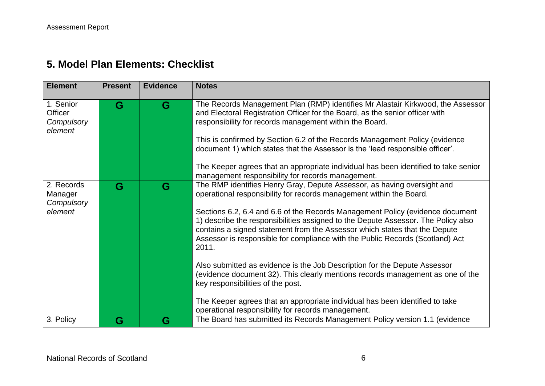# **5. Model Plan Elements: Checklist**

| <b>Element</b>                                       | <b>Present</b> | <b>Evidence</b> | <b>Notes</b>                                                                                                                                                                                                                                                                                                                                                                                                                                                                                                                           |
|------------------------------------------------------|----------------|-----------------|----------------------------------------------------------------------------------------------------------------------------------------------------------------------------------------------------------------------------------------------------------------------------------------------------------------------------------------------------------------------------------------------------------------------------------------------------------------------------------------------------------------------------------------|
| 1. Senior<br><b>Officer</b><br>Compulsory<br>element | G              | G               | The Records Management Plan (RMP) identifies Mr Alastair Kirkwood, the Assessor<br>and Electoral Registration Officer for the Board, as the senior officer with<br>responsibility for records management within the Board.<br>This is confirmed by Section 6.2 of the Records Management Policy (evidence<br>document 1) which states that the Assessor is the 'lead responsible officer'.<br>The Keeper agrees that an appropriate individual has been identified to take senior<br>management responsibility for records management. |
| 2. Records<br>Manager<br>Compulsory<br>element       | G              | G               | The RMP identifies Henry Gray, Depute Assessor, as having oversight and<br>operational responsibility for records management within the Board.<br>Sections 6.2, 6.4 and 6.6 of the Records Management Policy (evidence document<br>1) describe the responsibilities assigned to the Depute Assessor. The Policy also<br>contains a signed statement from the Assessor which states that the Depute<br>Assessor is responsible for compliance with the Public Records (Scotland) Act<br>2011.                                           |
|                                                      |                |                 | Also submitted as evidence is the Job Description for the Depute Assessor<br>(evidence document 32). This clearly mentions records management as one of the<br>key responsibilities of the post.<br>The Keeper agrees that an appropriate individual has been identified to take<br>operational responsibility for records management.                                                                                                                                                                                                 |
| 3. Policy                                            | G              | G               | The Board has submitted its Records Management Policy version 1.1 (evidence                                                                                                                                                                                                                                                                                                                                                                                                                                                            |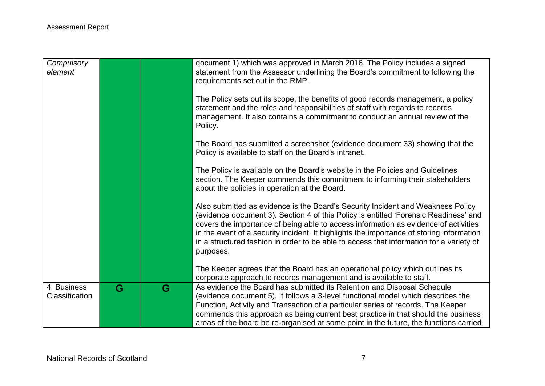| Compulsory<br>element                |   |   | document 1) which was approved in March 2016. The Policy includes a signed<br>statement from the Assessor underlining the Board's commitment to following the<br>requirements set out in the RMP.                                                                                                                                                                                                                                                                  |
|--------------------------------------|---|---|--------------------------------------------------------------------------------------------------------------------------------------------------------------------------------------------------------------------------------------------------------------------------------------------------------------------------------------------------------------------------------------------------------------------------------------------------------------------|
|                                      |   |   | The Policy sets out its scope, the benefits of good records management, a policy<br>statement and the roles and responsibilities of staff with regards to records<br>management. It also contains a commitment to conduct an annual review of the<br>Policy.                                                                                                                                                                                                       |
|                                      |   |   | The Board has submitted a screenshot (evidence document 33) showing that the<br>Policy is available to staff on the Board's intranet.                                                                                                                                                                                                                                                                                                                              |
|                                      |   |   | The Policy is available on the Board's website in the Policies and Guidelines<br>section. The Keeper commends this commitment to informing their stakeholders<br>about the policies in operation at the Board.                                                                                                                                                                                                                                                     |
|                                      |   |   | Also submitted as evidence is the Board's Security Incident and Weakness Policy<br>(evidence document 3). Section 4 of this Policy is entitled 'Forensic Readiness' and<br>covers the importance of being able to access information as evidence of activities<br>in the event of a security incident. It highlights the importance of storing information<br>in a structured fashion in order to be able to access that information for a variety of<br>purposes. |
|                                      |   |   | The Keeper agrees that the Board has an operational policy which outlines its<br>corporate approach to records management and is available to staff.                                                                                                                                                                                                                                                                                                               |
| 4. Business<br><b>Classification</b> | G | G | As evidence the Board has submitted its Retention and Disposal Schedule<br>(evidence document 5). It follows a 3-level functional model which describes the<br>Function, Activity and Transaction of a particular series of records. The Keeper<br>commends this approach as being current best practice in that should the business<br>areas of the board be re-organised at some point in the future, the functions carried                                      |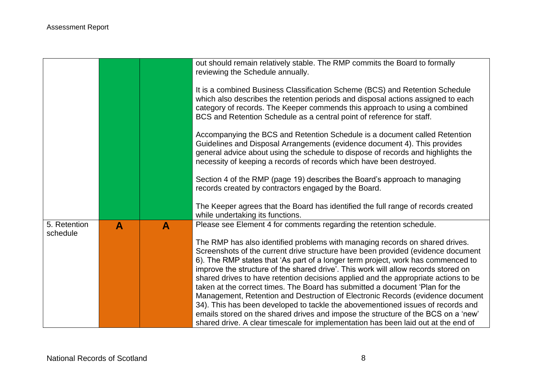|              |                  |   | out should remain relatively stable. The RMP commits the Board to formally<br>reviewing the Schedule annually.                                                                                                                                                                                                                                                                                                                                                                                                                                                                                                                                                                                                                                                                                                                                                    |
|--------------|------------------|---|-------------------------------------------------------------------------------------------------------------------------------------------------------------------------------------------------------------------------------------------------------------------------------------------------------------------------------------------------------------------------------------------------------------------------------------------------------------------------------------------------------------------------------------------------------------------------------------------------------------------------------------------------------------------------------------------------------------------------------------------------------------------------------------------------------------------------------------------------------------------|
|              |                  |   | It is a combined Business Classification Scheme (BCS) and Retention Schedule<br>which also describes the retention periods and disposal actions assigned to each<br>category of records. The Keeper commends this approach to using a combined<br>BCS and Retention Schedule as a central point of reference for staff.                                                                                                                                                                                                                                                                                                                                                                                                                                                                                                                                           |
|              |                  |   | Accompanying the BCS and Retention Schedule is a document called Retention<br>Guidelines and Disposal Arrangements (evidence document 4). This provides<br>general advice about using the schedule to dispose of records and highlights the<br>necessity of keeping a records of records which have been destroyed.                                                                                                                                                                                                                                                                                                                                                                                                                                                                                                                                               |
|              |                  |   | Section 4 of the RMP (page 19) describes the Board's approach to managing<br>records created by contractors engaged by the Board.                                                                                                                                                                                                                                                                                                                                                                                                                                                                                                                                                                                                                                                                                                                                 |
|              |                  |   | The Keeper agrees that the Board has identified the full range of records created<br>while undertaking its functions.                                                                                                                                                                                                                                                                                                                                                                                                                                                                                                                                                                                                                                                                                                                                             |
| 5. Retention | $\blacktriangle$ | A | Please see Element 4 for comments regarding the retention schedule.                                                                                                                                                                                                                                                                                                                                                                                                                                                                                                                                                                                                                                                                                                                                                                                               |
| schedule     |                  |   | The RMP has also identified problems with managing records on shared drives.<br>Screenshots of the current drive structure have been provided (evidence document<br>6). The RMP states that 'As part of a longer term project, work has commenced to<br>improve the structure of the shared drive'. This work will allow records stored on<br>shared drives to have retention decisions applied and the appropriate actions to be<br>taken at the correct times. The Board has submitted a document 'Plan for the<br>Management, Retention and Destruction of Electronic Records (evidence document<br>34). This has been developed to tackle the abovementioned issues of records and<br>emails stored on the shared drives and impose the structure of the BCS on a 'new'<br>shared drive. A clear timescale for implementation has been laid out at the end of |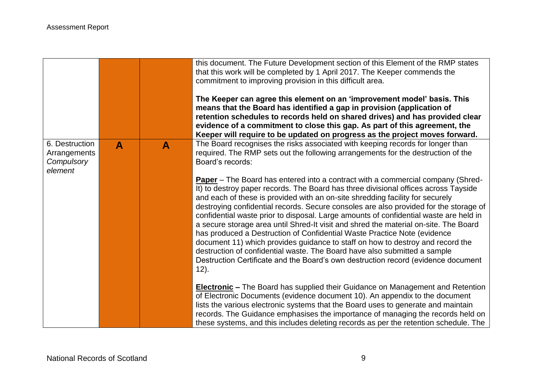|                                                         |                  |              | this document. The Future Development section of this Element of the RMP states<br>that this work will be completed by 1 April 2017. The Keeper commends the<br>commitment to improving provision in this difficult area.<br>The Keeper can agree this element on an 'improvement model' basis. This<br>means that the Board has identified a gap in provision (application of<br>retention schedules to records held on shared drives) and has provided clear<br>evidence of a commitment to close this gap. As part of this agreement, the<br>Keeper will require to be updated on progress as the project moves forward.                                                                        |
|---------------------------------------------------------|------------------|--------------|----------------------------------------------------------------------------------------------------------------------------------------------------------------------------------------------------------------------------------------------------------------------------------------------------------------------------------------------------------------------------------------------------------------------------------------------------------------------------------------------------------------------------------------------------------------------------------------------------------------------------------------------------------------------------------------------------|
| 6. Destruction<br>Arrangements<br>Compulsory<br>element | $\blacktriangle$ | $\mathbf{A}$ | The Board recognises the risks associated with keeping records for longer than<br>required. The RMP sets out the following arrangements for the destruction of the<br>Board's records:<br><b>Paper</b> – The Board has entered into a contract with a commercial company (Shred-<br>It) to destroy paper records. The Board has three divisional offices across Tayside                                                                                                                                                                                                                                                                                                                            |
|                                                         |                  |              | and each of these is provided with an on-site shredding facility for securely<br>destroying confidential records. Secure consoles are also provided for the storage of<br>confidential waste prior to disposal. Large amounts of confidential waste are held in<br>a secure storage area until Shred-It visit and shred the material on-site. The Board<br>has produced a Destruction of Confidential Waste Practice Note (evidence<br>document 11) which provides guidance to staff on how to destroy and record the<br>destruction of confidential waste. The Board have also submitted a sample<br>Destruction Certificate and the Board's own destruction record (evidence document<br>$12$ ). |
|                                                         |                  |              | <b>Electronic</b> – The Board has supplied their Guidance on Management and Retention<br>of Electronic Documents (evidence document 10). An appendix to the document<br>lists the various electronic systems that the Board uses to generate and maintain<br>records. The Guidance emphasises the importance of managing the records held on<br>these systems, and this includes deleting records as per the retention schedule. The                                                                                                                                                                                                                                                               |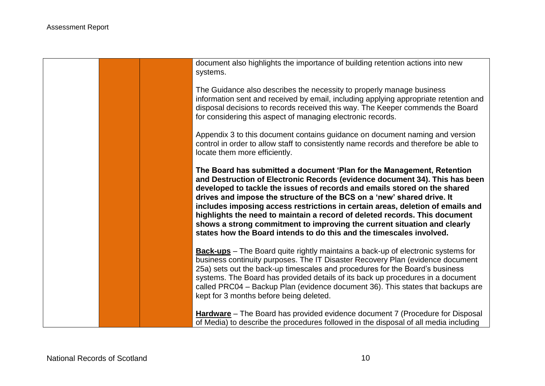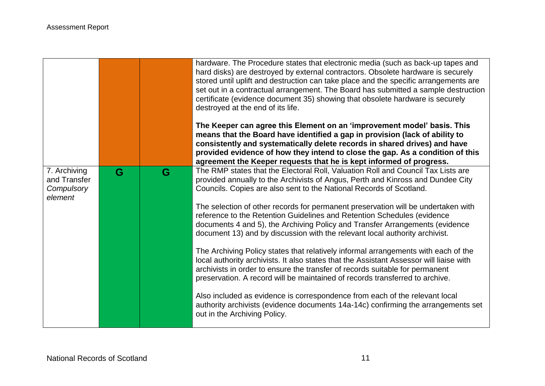|                                                       |   |   | hardware. The Procedure states that electronic media (such as back-up tapes and<br>hard disks) are destroyed by external contractors. Obsolete hardware is securely<br>stored until uplift and destruction can take place and the specific arrangements are<br>set out in a contractual arrangement. The Board has submitted a sample destruction<br>certificate (evidence document 35) showing that obsolete hardware is securely<br>destroyed at the end of its life.<br>The Keeper can agree this Element on an 'improvement model' basis. This |
|-------------------------------------------------------|---|---|----------------------------------------------------------------------------------------------------------------------------------------------------------------------------------------------------------------------------------------------------------------------------------------------------------------------------------------------------------------------------------------------------------------------------------------------------------------------------------------------------------------------------------------------------|
|                                                       |   |   | means that the Board have identified a gap in provision (lack of ability to<br>consistently and systematically delete records in shared drives) and have<br>provided evidence of how they intend to close the gap. As a condition of this                                                                                                                                                                                                                                                                                                          |
|                                                       |   |   | agreement the Keeper requests that he is kept informed of progress.                                                                                                                                                                                                                                                                                                                                                                                                                                                                                |
| 7. Archiving<br>and Transfer<br>Compulsory<br>element | G | G | The RMP states that the Electoral Roll, Valuation Roll and Council Tax Lists are<br>provided annually to the Archivists of Angus, Perth and Kinross and Dundee City<br>Councils. Copies are also sent to the National Records of Scotland.                                                                                                                                                                                                                                                                                                         |
|                                                       |   |   | The selection of other records for permanent preservation will be undertaken with<br>reference to the Retention Guidelines and Retention Schedules (evidence<br>documents 4 and 5), the Archiving Policy and Transfer Arrangements (evidence<br>document 13) and by discussion with the relevant local authority archivist.                                                                                                                                                                                                                        |
|                                                       |   |   | The Archiving Policy states that relatively informal arrangements with each of the<br>local authority archivists. It also states that the Assistant Assessor will liaise with<br>archivists in order to ensure the transfer of records suitable for permanent<br>preservation. A record will be maintained of records transferred to archive.                                                                                                                                                                                                      |
|                                                       |   |   | Also included as evidence is correspondence from each of the relevant local<br>authority archivists (evidence documents 14a-14c) confirming the arrangements set<br>out in the Archiving Policy.                                                                                                                                                                                                                                                                                                                                                   |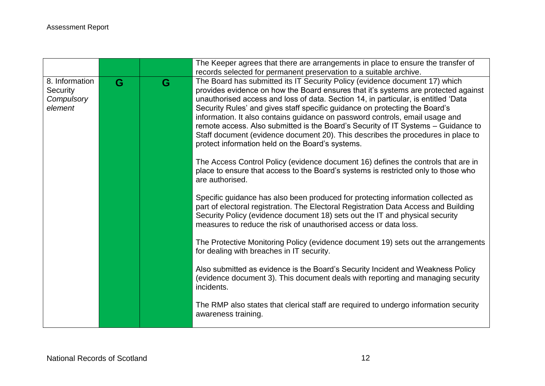|                                                     |   |   | The Keeper agrees that there are arrangements in place to ensure the transfer of                                                                                                                                                                                                                                                                                                                                                                                                                                                                                                                                                                                                                                                                                                                                                                  |
|-----------------------------------------------------|---|---|---------------------------------------------------------------------------------------------------------------------------------------------------------------------------------------------------------------------------------------------------------------------------------------------------------------------------------------------------------------------------------------------------------------------------------------------------------------------------------------------------------------------------------------------------------------------------------------------------------------------------------------------------------------------------------------------------------------------------------------------------------------------------------------------------------------------------------------------------|
|                                                     |   |   | records selected for permanent preservation to a suitable archive.                                                                                                                                                                                                                                                                                                                                                                                                                                                                                                                                                                                                                                                                                                                                                                                |
| 8. Information<br>Security<br>Compulsory<br>element | G | G | The Board has submitted its IT Security Policy (evidence document 17) which<br>provides evidence on how the Board ensures that it's systems are protected against<br>unauthorised access and loss of data. Section 14, in particular, is entitled 'Data<br>Security Rules' and gives staff specific guidance on protecting the Board's<br>information. It also contains guidance on password controls, email usage and<br>remote access. Also submitted is the Board's Security of IT Systems - Guidance to<br>Staff document (evidence document 20). This describes the procedures in place to<br>protect information held on the Board's systems.<br>The Access Control Policy (evidence document 16) defines the controls that are in<br>place to ensure that access to the Board's systems is restricted only to those who<br>are authorised. |
|                                                     |   |   | Specific guidance has also been produced for protecting information collected as<br>part of electoral registration. The Electoral Registration Data Access and Building<br>Security Policy (evidence document 18) sets out the IT and physical security<br>measures to reduce the risk of unauthorised access or data loss.                                                                                                                                                                                                                                                                                                                                                                                                                                                                                                                       |
|                                                     |   |   | The Protective Monitoring Policy (evidence document 19) sets out the arrangements<br>for dealing with breaches in IT security.                                                                                                                                                                                                                                                                                                                                                                                                                                                                                                                                                                                                                                                                                                                    |
|                                                     |   |   | Also submitted as evidence is the Board's Security Incident and Weakness Policy<br>(evidence document 3). This document deals with reporting and managing security<br>incidents.                                                                                                                                                                                                                                                                                                                                                                                                                                                                                                                                                                                                                                                                  |
|                                                     |   |   | The RMP also states that clerical staff are required to undergo information security<br>awareness training.                                                                                                                                                                                                                                                                                                                                                                                                                                                                                                                                                                                                                                                                                                                                       |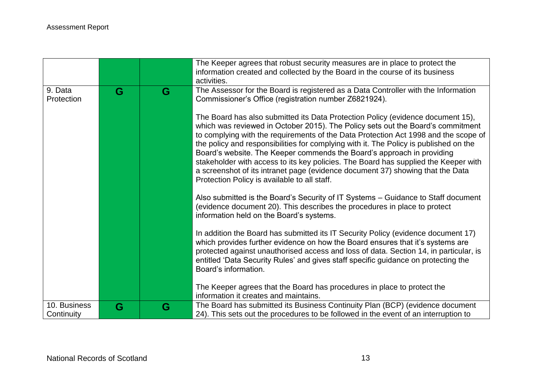|                            |   |   | The Keeper agrees that robust security measures are in place to protect the<br>information created and collected by the Board in the course of its business                                                                                                                                                                                                                                                                                                                                                                                                                                                                                           |
|----------------------------|---|---|-------------------------------------------------------------------------------------------------------------------------------------------------------------------------------------------------------------------------------------------------------------------------------------------------------------------------------------------------------------------------------------------------------------------------------------------------------------------------------------------------------------------------------------------------------------------------------------------------------------------------------------------------------|
| 9. Data<br>Protection      | G | G | activities.<br>The Assessor for the Board is registered as a Data Controller with the Information<br>Commissioner's Office (registration number Z6821924).                                                                                                                                                                                                                                                                                                                                                                                                                                                                                            |
|                            |   |   | The Board has also submitted its Data Protection Policy (evidence document 15),<br>which was reviewed in October 2015). The Policy sets out the Board's commitment<br>to complying with the requirements of the Data Protection Act 1998 and the scope of<br>the policy and responsibilities for complying with it. The Policy is published on the<br>Board's website. The Keeper commends the Board's approach in providing<br>stakeholder with access to its key policies. The Board has supplied the Keeper with<br>a screenshot of its intranet page (evidence document 37) showing that the Data<br>Protection Policy is available to all staff. |
|                            |   |   | Also submitted is the Board's Security of IT Systems - Guidance to Staff document<br>(evidence document 20). This describes the procedures in place to protect<br>information held on the Board's systems.                                                                                                                                                                                                                                                                                                                                                                                                                                            |
|                            |   |   | In addition the Board has submitted its IT Security Policy (evidence document 17)<br>which provides further evidence on how the Board ensures that it's systems are<br>protected against unauthorised access and loss of data. Section 14, in particular, is<br>entitled 'Data Security Rules' and gives staff specific guidance on protecting the<br>Board's information.                                                                                                                                                                                                                                                                            |
|                            |   |   | The Keeper agrees that the Board has procedures in place to protect the<br>information it creates and maintains.                                                                                                                                                                                                                                                                                                                                                                                                                                                                                                                                      |
| 10. Business<br>Continuity | G | G | The Board has submitted its Business Continuity Plan (BCP) (evidence document<br>24). This sets out the procedures to be followed in the event of an interruption to                                                                                                                                                                                                                                                                                                                                                                                                                                                                                  |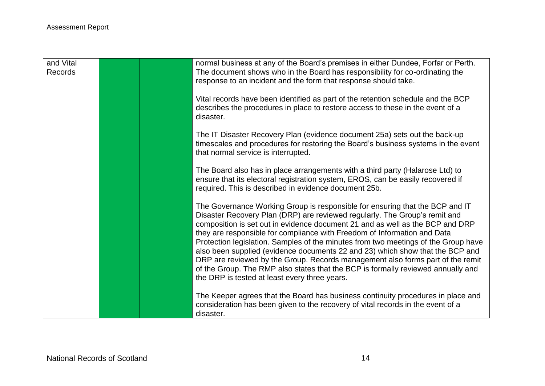| and Vital<br>Records | normal business at any of the Board's premises in either Dundee, Forfar or Perth.<br>The document shows who in the Board has responsibility for co-ordinating the<br>response to an incident and the form that response should take.                                                                                                                                                                                                                                                                                                                                                                                                                                                                                  |
|----------------------|-----------------------------------------------------------------------------------------------------------------------------------------------------------------------------------------------------------------------------------------------------------------------------------------------------------------------------------------------------------------------------------------------------------------------------------------------------------------------------------------------------------------------------------------------------------------------------------------------------------------------------------------------------------------------------------------------------------------------|
|                      | Vital records have been identified as part of the retention schedule and the BCP<br>describes the procedures in place to restore access to these in the event of a<br>disaster.                                                                                                                                                                                                                                                                                                                                                                                                                                                                                                                                       |
|                      | The IT Disaster Recovery Plan (evidence document 25a) sets out the back-up<br>timescales and procedures for restoring the Board's business systems in the event<br>that normal service is interrupted.                                                                                                                                                                                                                                                                                                                                                                                                                                                                                                                |
|                      | The Board also has in place arrangements with a third party (Halarose Ltd) to<br>ensure that its electoral registration system, EROS, can be easily recovered if<br>required. This is described in evidence document 25b.                                                                                                                                                                                                                                                                                                                                                                                                                                                                                             |
|                      | The Governance Working Group is responsible for ensuring that the BCP and IT<br>Disaster Recovery Plan (DRP) are reviewed regularly. The Group's remit and<br>composition is set out in evidence document 21 and as well as the BCP and DRP<br>they are responsible for compliance with Freedom of Information and Data<br>Protection legislation. Samples of the minutes from two meetings of the Group have<br>also been supplied (evidence documents 22 and 23) which show that the BCP and<br>DRP are reviewed by the Group. Records management also forms part of the remit<br>of the Group. The RMP also states that the BCP is formally reviewed annually and<br>the DRP is tested at least every three years. |
|                      | The Keeper agrees that the Board has business continuity procedures in place and<br>consideration has been given to the recovery of vital records in the event of a<br>disaster.                                                                                                                                                                                                                                                                                                                                                                                                                                                                                                                                      |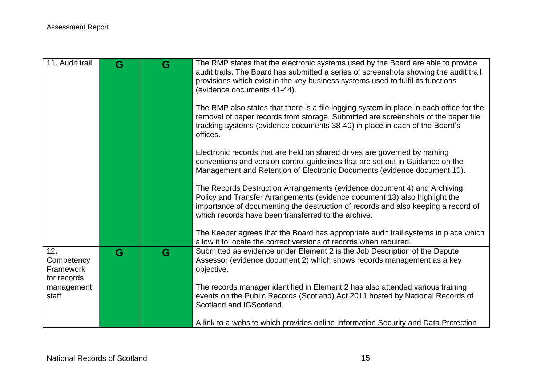| 11. Audit trail                               | G | G | The RMP states that the electronic systems used by the Board are able to provide<br>audit trails. The Board has submitted a series of screenshots showing the audit trail<br>provisions which exist in the key business systems used to fulfil its functions<br>(evidence documents 41-44).        |
|-----------------------------------------------|---|---|----------------------------------------------------------------------------------------------------------------------------------------------------------------------------------------------------------------------------------------------------------------------------------------------------|
|                                               |   |   | The RMP also states that there is a file logging system in place in each office for the<br>removal of paper records from storage. Submitted are screenshots of the paper file<br>tracking systems (evidence documents 38-40) in place in each of the Board's<br>offices.                           |
|                                               |   |   | Electronic records that are held on shared drives are governed by naming<br>conventions and version control guidelines that are set out in Guidance on the<br>Management and Retention of Electronic Documents (evidence document 10).                                                             |
|                                               |   |   | The Records Destruction Arrangements (evidence document 4) and Archiving<br>Policy and Transfer Arrangements (evidence document 13) also highlight the<br>importance of documenting the destruction of records and also keeping a record of<br>which records have been transferred to the archive. |
|                                               |   |   | The Keeper agrees that the Board has appropriate audit trail systems in place which<br>allow it to locate the correct versions of records when required.                                                                                                                                           |
| 12.<br>Competency<br>Framework<br>for records | G | G | Submitted as evidence under Element 2 is the Job Description of the Depute<br>Assessor (evidence document 2) which shows records management as a key<br>objective.                                                                                                                                 |
| management<br>staff                           |   |   | The records manager identified in Element 2 has also attended various training<br>events on the Public Records (Scotland) Act 2011 hosted by National Records of<br>Scotland and IGScotland.                                                                                                       |
|                                               |   |   | A link to a website which provides online Information Security and Data Protection                                                                                                                                                                                                                 |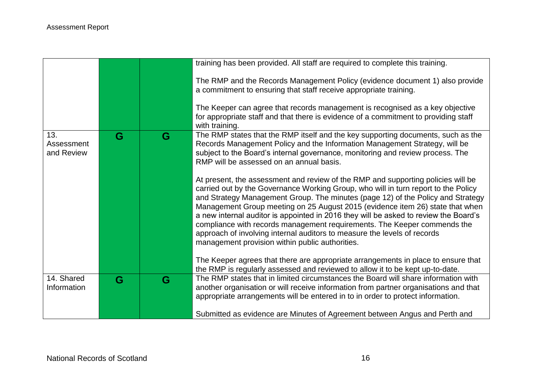|                                 |   |   | training has been provided. All staff are required to complete this training.                                                                                                                                                                                                                                                                                                                                                                                                                                                                                                                                                                 |
|---------------------------------|---|---|-----------------------------------------------------------------------------------------------------------------------------------------------------------------------------------------------------------------------------------------------------------------------------------------------------------------------------------------------------------------------------------------------------------------------------------------------------------------------------------------------------------------------------------------------------------------------------------------------------------------------------------------------|
|                                 |   |   | The RMP and the Records Management Policy (evidence document 1) also provide<br>a commitment to ensuring that staff receive appropriate training.                                                                                                                                                                                                                                                                                                                                                                                                                                                                                             |
|                                 |   |   | The Keeper can agree that records management is recognised as a key objective<br>for appropriate staff and that there is evidence of a commitment to providing staff<br>with training.                                                                                                                                                                                                                                                                                                                                                                                                                                                        |
| 13.<br>Assessment<br>and Review | G | G | The RMP states that the RMP itself and the key supporting documents, such as the<br>Records Management Policy and the Information Management Strategy, will be<br>subject to the Board's internal governance, monitoring and review process. The<br>RMP will be assessed on an annual basis.                                                                                                                                                                                                                                                                                                                                                  |
|                                 |   |   | At present, the assessment and review of the RMP and supporting policies will be<br>carried out by the Governance Working Group, who will in turn report to the Policy<br>and Strategy Management Group. The minutes (page 12) of the Policy and Strategy<br>Management Group meeting on 25 August 2015 (evidence item 26) state that when<br>a new internal auditor is appointed in 2016 they will be asked to review the Board's<br>compliance with records management requirements. The Keeper commends the<br>approach of involving internal auditors to measure the levels of records<br>management provision within public authorities. |
|                                 |   |   | The Keeper agrees that there are appropriate arrangements in place to ensure that<br>the RMP is regularly assessed and reviewed to allow it to be kept up-to-date.                                                                                                                                                                                                                                                                                                                                                                                                                                                                            |
| 14. Shared<br>Information       | G | G | The RMP states that in limited circumstances the Board will share information with<br>another organisation or will receive information from partner organisations and that<br>appropriate arrangements will be entered in to in order to protect information.                                                                                                                                                                                                                                                                                                                                                                                 |
|                                 |   |   | Submitted as evidence are Minutes of Agreement between Angus and Perth and                                                                                                                                                                                                                                                                                                                                                                                                                                                                                                                                                                    |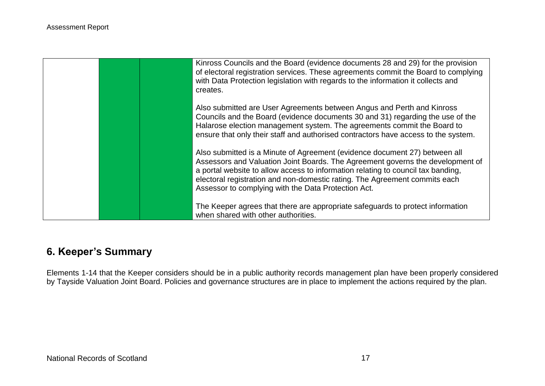

# **6. Keeper's Summary**

Elements 1-14 that the Keeper considers should be in a public authority records management plan have been properly considered by Tayside Valuation Joint Board. Policies and governance structures are in place to implement the actions required by the plan.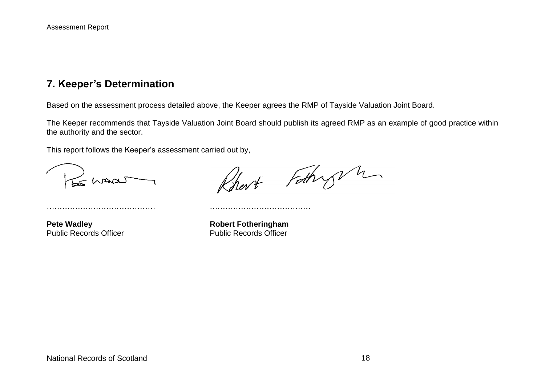### **7. Keeper's Determination**

Based on the assessment process detailed above, the Keeper agrees the RMP of Tayside Valuation Joint Board.

The Keeper recommends that Tayside Valuation Joint Board should publish its agreed RMP as an example of good practice within the authority and the sector.

This report follows the Keeper's assessment carried out by,

…………………………………… …………………………………

Le Maa

Robert Fathry n

**Pete Wadley**<br> **Public Records Officer**<br> **Robert Fotheringham**<br> **Public Records Officer** Public Records Officer